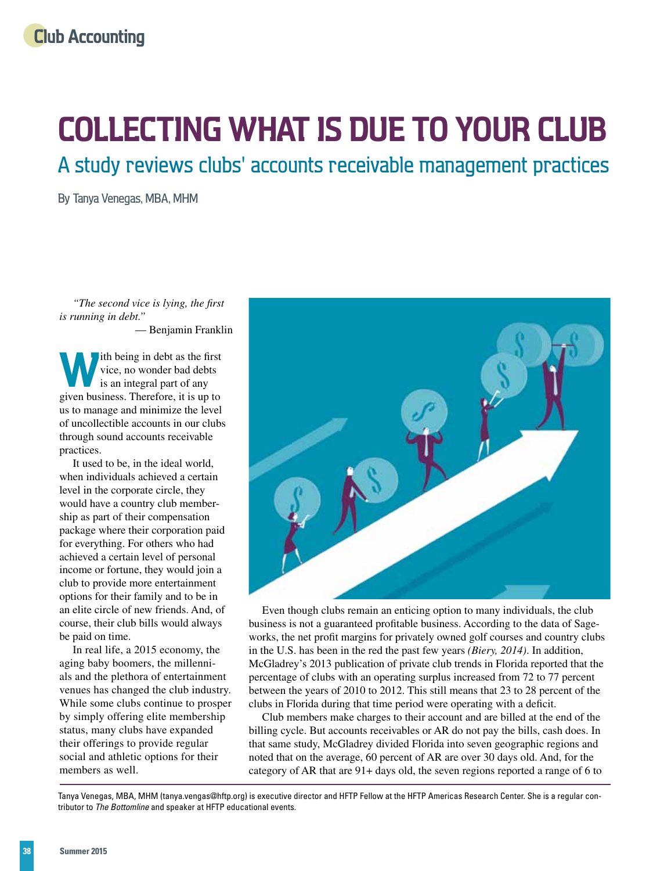# **Collecting What is Due to Your Club**

A study reviews clubs' accounts receivable management practices

By Tanya Venegas, MBA, MHM

*"The second vice is lying, the first is running in debt."* 

— Benjamin Franklin

ith being in debt as the first vice, no wonder bad debts is an integral part of any given business. Therefore, it is up to us to manage and minimize the level of uncollectible accounts in our clubs through sound accounts receivable practices.

It used to be, in the ideal world, when individuals achieved a certain level in the corporate circle, they would have a country club membership as part of their compensation package where their corporation paid for everything. For others who had achieved a certain level of personal income or fortune, they would join a club to provide more entertainment options for their family and to be in an elite circle of new friends. And, of course, their club bills would always be paid on time.

In real life, a 2015 economy, the aging baby boomers, the millennials and the plethora of entertainment venues has changed the club industry. While some clubs continue to prosper by simply offering elite membership status, many clubs have expanded their offerings to provide regular social and athletic options for their members as well.



Even though clubs remain an enticing option to many individuals, the club business is not a guaranteed profitable business. According to the data of Sageworks, the net profit margins for privately owned golf courses and country clubs in the U.S. has been in the red the past few years *(Biery, 2014)*. In addition, McGladrey's 2013 publication of private club trends in Florida reported that the percentage of clubs with an operating surplus increased from 72 to 77 percent between the years of 2010 to 2012. This still means that 23 to 28 percent of the clubs in Florida during that time period were operating with a deficit.

Club members make charges to their account and are billed at the end of the billing cycle. But accounts receivables or AR do not pay the bills, cash does. In that same study, McGladrey divided Florida into seven geographic regions and noted that on the average, 60 percent of AR are over 30 days old. And, for the category of AR that are 91+ days old, the seven regions reported a range of 6 to

Tanya Venegas, MBA, MHM [\(tanya.vengas@hftp.org\) is](mailto:tanya.vengas@hftp.org) executive director and HFTP Fellow at the HFTP Americas Research Center. She is a regular contributor to *The Bottomline* and speaker at HFTP educational events.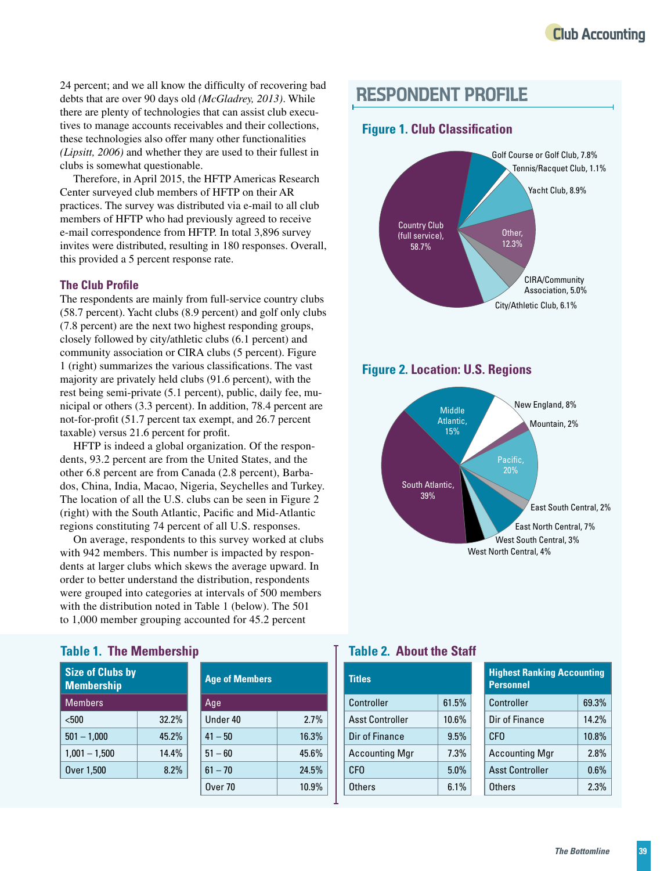24 percent; and we all know the difficulty of recovering bad debts that are over 90 days old *(McGladrey, 2013)*. While there are plenty of technologies that can assist club executives to manage accounts receivables and their collections, these technologies also offer many other functionalities *(Lipsitt, 2006)* and whether they are used to their fullest in clubs is somewhat questionable.

Therefore, in April 2015, the HFTP Americas Research Center surveyed club members of HFTP on their AR practices. The survey was distributed via e-mail to all club members of HFTP who had previously agreed to receive e-mail correspondence from HFTP. In total 3,896 survey invites were distributed, resulting in 180 responses. Overall, this provided a 5 percent response rate.

#### **The Club Profile**

The respondents are mainly from full-service country clubs (58.7 percent). Yacht clubs (8.9 percent) and golf only clubs (7.8 percent) are the next two highest responding groups, closely followed by city/athletic clubs (6.1 percent) and community association or CIRA clubs (5 percent). Figure 1 (right) summarizes the various classifications. The vast majority are privately held clubs (91.6 percent), with the rest being semi-private (5.1 percent), public, daily fee, municipal or others (3.3 percent). In addition, 78.4 percent are not-for-profit (51.7 percent tax exempt, and 26.7 percent taxable) versus 21.6 percent for profit.

HFTP is indeed a global organization. Of the respondents, 93.2 percent are from the United States, and the other 6.8 percent are from Canada (2.8 percent), Barbados, China, India, Macao, Nigeria, Seychelles and Turkey. The location of all the U.S. clubs can be seen in Figure 2 (right) with the South Atlantic, Pacific and Mid-Atlantic regions constituting 74 percent of all U.S. responses.

On average, respondents to this survey worked at clubs with 942 members. This number is impacted by respondents at larger clubs which skews the average upward. In order to better understand the distribution, respondents were grouped into categories at intervals of 500 members with the distribution noted in Table 1 (below). The 501 to 1,000 member grouping accounted for 45.2 percent

## **RESPONDENT PROFILE**

#### **Figure 1. Club Classification**



**Figure 2. Location: U.S. Regions**



#### **Table 1. The Membership**

| <b>Size of Clubs by</b><br><b>Membership</b> |       |  | <b>Age of Members</b> |
|----------------------------------------------|-------|--|-----------------------|
| <b>Members</b>                               |       |  | Age                   |
| < 500                                        | 32.2% |  | Under 40              |
| $501 - 1,000$                                | 45.2% |  | $41 - 50$             |
| $1,001 - 1,500$                              | 14.4% |  | $51 - 60$             |
| Over 1,500                                   | 8.2%  |  | $61 - 70$             |
|                                              |       |  |                       |

| able 1. The Membership                       |       |  |                       |       |  |  |  |
|----------------------------------------------|-------|--|-----------------------|-------|--|--|--|
| <b>Size of Clubs by</b><br><b>Membership</b> |       |  | <b>Age of Members</b> |       |  |  |  |
| <b>Members</b>                               |       |  | Age                   |       |  |  |  |
| $500$                                        | 32.2% |  | Under 40              | 2.7%  |  |  |  |
| $501 - 1,000$                                | 45.2% |  | $41 - 50$             | 16.3% |  |  |  |
| $1,001 - 1,500$                              | 14.4% |  | $51 - 60$             | 45.6% |  |  |  |
| Over 1,500                                   | 8.2%  |  | $61 - 70$             | 24.5% |  |  |  |
|                                              |       |  | Over <sub>70</sub>    | 10.9% |  |  |  |

#### **Table 2. About the Staff**

| <b>Titles</b>          |       | <b>Highest Ranking Accounting</b><br><b>Personnel</b> |       |  |
|------------------------|-------|-------------------------------------------------------|-------|--|
| Controller             | 61.5% | Controller                                            | 69.3% |  |
| <b>Asst Controller</b> | 10.6% | Dir of Finance                                        | 14.2% |  |
| Dir of Finance         | 9.5%  | CF <sub>0</sub>                                       | 10.8% |  |
| <b>Accounting Mgr</b>  | 7.3%  | <b>Accounting Mgr</b>                                 | 2.8%  |  |
| <b>CFO</b>             | 5.0%  | <b>Asst Controller</b>                                | 0.6%  |  |
| Others                 | 6.1%  | <b>Others</b>                                         | 2.3%  |  |
|                        |       |                                                       |       |  |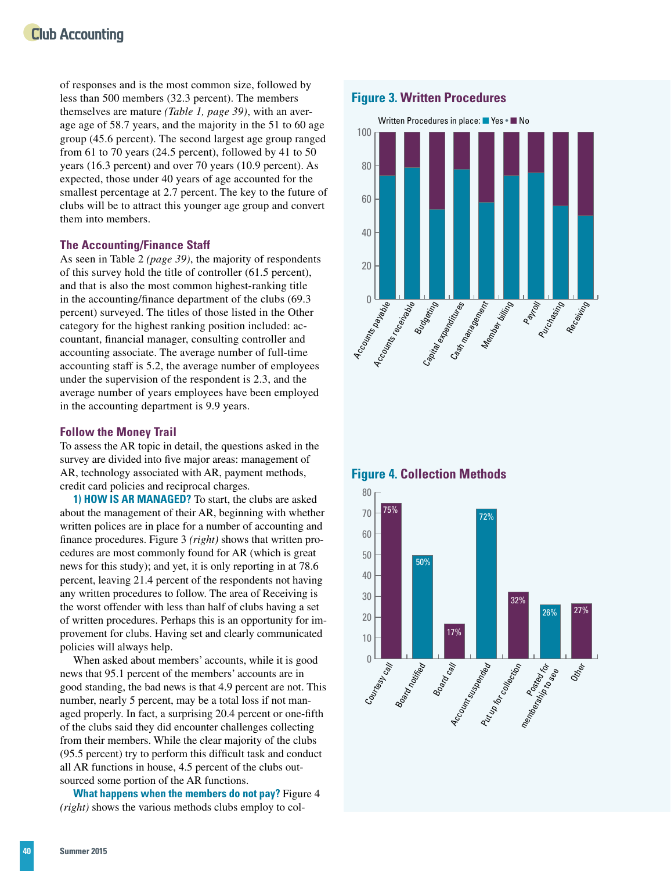## **Club Accounting**

of responses and is the most common size, followed by less than 500 members (32.3 percent). The members themselves are mature *(Table 1, page 39)*, with an average age of 58.7 years, and the majority in the 51 to 60 age group (45.6 percent). The second largest age group ranged from 61 to 70 years (24.5 percent), followed by 41 to 50 years (16.3 percent) and over 70 years (10.9 percent). As expected, those under 40 years of age accounted for the smallest percentage at 2.7 percent. The key to the future of clubs will be to attract this younger age group and convert them into members.

#### **The Accounting/Finance Staff**

As seen in Table 2 *(page 39)*, the majority of respondents of this survey hold the title of controller (61.5 percent), and that is also the most common highest-ranking title in the accounting/finance department of the clubs (69.3 percent) surveyed. The titles of those listed in the Other category for the highest ranking position included: accountant, financial manager, consulting controller and accounting associate. The average number of full-time accounting staff is 5.2, the average number of employees under the supervision of the respondent is 2.3, and the average number of years employees have been employed in the accounting department is 9.9 years.

#### **Follow the Money Trail**

To assess the AR topic in detail, the questions asked in the survey are divided into five major areas: management of AR, technology associated with AR, payment methods, credit card policies and reciprocal charges.

**1) HOW IS AR MANAGED?** To start, the clubs are asked about the management of their AR, beginning with whether written polices are in place for a number of accounting and finance procedures. Figure 3 *(right)* shows that written procedures are most commonly found for AR (which is great news for this study); and yet, it is only reporting in at 78.6 percent, leaving 21.4 percent of the respondents not having any written procedures to follow. The area of Receiving is the worst offender with less than half of clubs having a set of written procedures. Perhaps this is an opportunity for improvement for clubs. Having set and clearly communicated policies will always help.

When asked about members' accounts, while it is good news that 95.1 percent of the members' accounts are in good standing, the bad news is that 4.9 percent are not. This number, nearly 5 percent, may be a total loss if not managed properly. In fact, a surprising 20.4 percent or one-fifth of the clubs said they did encounter challenges collecting from their members. While the clear majority of the clubs (95.5 percent) try to perform this difficult task and conduct all AR functions in house, 4.5 percent of the clubs outsourced some portion of the AR functions.

**What happens when the members do not pay?** Figure 4 *(right)* shows the various methods clubs employ to col-

#### **Figure 3. Written Procedures**





#### **Figure 4. Collection Methods**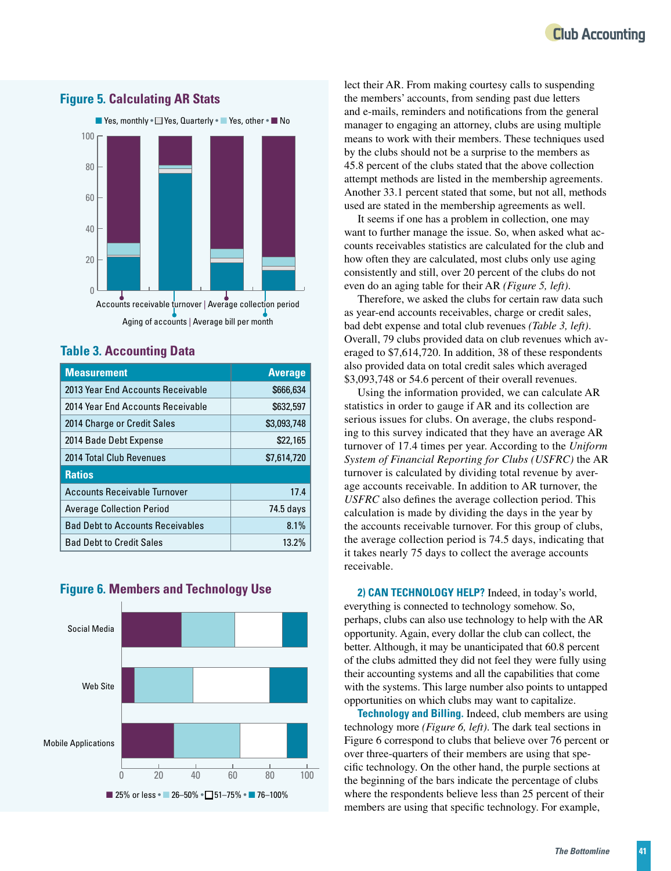## **Club Accounting**



**Measurement Average** 2013 Year End Accounts Receivable **\$666,634** 2014 Year End Accounts Receivable **1998** S632.597 2014 Charge or Credit Sales **\$3,093,748** 2014 Bade Debt Expense **\$22,165** 2014 Total Club Revenues **\$7,614,720** 

#### **Figure 5. Calculating AR Stats**

**Table 3. Accounting Data**

**Ratios**

## Accounts Receivable Turnover 17.4 Average Collection Period **74.5 days** Bad Debt to Accounts Receivables 1988 1% Bad Debt to Credit Sales 13.2% Social Media **Figure 6. Members and Technology Use**



lect their AR. From making courtesy calls to suspending the members' accounts, from sending past due letters and e-mails, reminders and notifications from the general manager to engaging an attorney, clubs are using multiple means to work with their members. These techniques used by the clubs should not be a surprise to the members as 45.8 percent of the clubs stated that the above collection attempt methods are listed in the membership agreements. Another 33.1 percent stated that some, but not all, methods used are stated in the membership agreements as well.

It seems if one has a problem in collection, one may want to further manage the issue. So, when asked what accounts receivables statistics are calculated for the club and how often they are calculated, most clubs only use aging consistently and still, over 20 percent of the clubs do not even do an aging table for their AR *(Figure 5, left)*.

Therefore, we asked the clubs for certain raw data such as year-end accounts receivables, charge or credit sales, bad debt expense and total club revenues *(Table 3, left)*. Overall, 79 clubs provided data on club revenues which averaged to \$7,614,720. In addition, 38 of these respondents also provided data on total credit sales which averaged \$3,093,748 or 54.6 percent of their overall revenues.

Using the information provided, we can calculate AR statistics in order to gauge if AR and its collection are serious issues for clubs. On average, the clubs responding to this survey indicated that they have an average AR turnover of 17.4 times per year. According to the *Uniform System of Financial Reporting for Clubs (USFRC)* the AR turnover is calculated by dividing total revenue by average accounts receivable. In addition to AR turnover, the *USFRC* also defines the average collection period. This calculation is made by dividing the days in the year by the accounts receivable turnover. For this group of clubs, the average collection period is 74.5 days, indicating that it takes nearly 75 days to collect the average accounts receivable.

**2) CAN TECHNOLOGY HELP?** Indeed, in today's world, everything is connected to technology somehow. So, perhaps, clubs can also use technology to help with the AR opportunity. Again, every dollar the club can collect, the better. Although, it may be unanticipated that 60.8 percent of the clubs admitted they did not feel they were fully using their accounting systems and all the capabilities that come with the systems. This large number also points to untapped opportunities on which clubs may want to capitalize.

**Technology and Billing.** Indeed, club members are using technology more *(Figure 6, left)*. The dark teal sections in Figure 6 correspond to clubs that believe over 76 percent or over three-quarters of their members are using that specific technology. On the other hand, the purple sections at the beginning of the bars indicate the percentage of clubs where the respondents believe less than 25 percent of their members are using that specific technology. For example,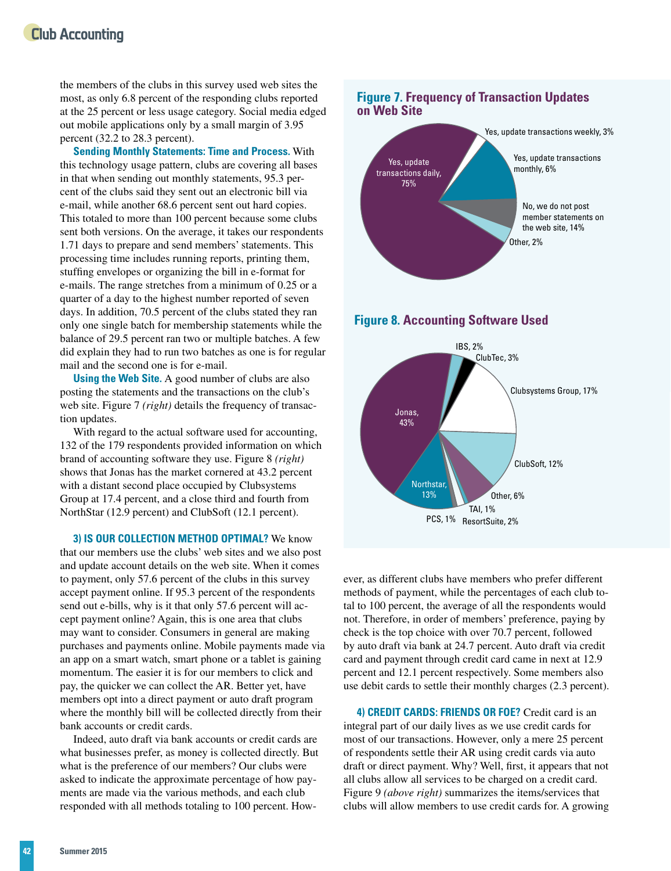### **Club Accounting**

the members of the clubs in this survey used web sites the most, as only 6.8 percent of the responding clubs reported at the 25 percent or less usage category. Social media edged out mobile applications only by a small margin of 3.95 percent (32.2 to 28.3 percent).

**Sending Monthly Statements: Time and Process.** With this technology usage pattern, clubs are covering all bases in that when sending out monthly statements, 95.3 percent of the clubs said they sent out an electronic bill via e-mail, while another 68.6 percent sent out hard copies. This totaled to more than 100 percent because some clubs sent both versions. On the average, it takes our respondents 1.71 days to prepare and send members' statements. This processing time includes running reports, printing them, stuffing envelopes or organizing the bill in e-format for e-mails. The range stretches from a minimum of 0.25 or a quarter of a day to the highest number reported of seven days. In addition, 70.5 percent of the clubs stated they ran only one single batch for membership statements while the balance of 29.5 percent ran two or multiple batches. A few did explain they had to run two batches as one is for regular mail and the second one is for e-mail.

**Using the Web Site.** A good number of clubs are also posting the statements and the transactions on the club's web site. Figure 7 *(right)* details the frequency of transaction updates.

With regard to the actual software used for accounting, 132 of the 179 respondents provided information on which brand of accounting software they use. Figure 8 *(right)* shows that Jonas has the market cornered at 43.2 percent with a distant second place occupied by Clubsystems Group at 17.4 percent, and a close third and fourth from NorthStar (12.9 percent) and ClubSoft (12.1 percent).

**3) IS OUR COLLECTION METHOD OPTIMAL?** We know that our members use the clubs' web sites and we also post and update account details on the web site. When it comes to payment, only 57.6 percent of the clubs in this survey accept payment online. If 95.3 percent of the respondents send out e-bills, why is it that only 57.6 percent will accept payment online? Again, this is one area that clubs may want to consider. Consumers in general are making purchases and payments online. Mobile payments made via an app on a smart watch, smart phone or a tablet is gaining momentum. The easier it is for our members to click and pay, the quicker we can collect the AR. Better yet, have members opt into a direct payment or auto draft program where the monthly bill will be collected directly from their bank accounts or credit cards.

Indeed, auto draft via bank accounts or credit cards are what businesses prefer, as money is collected directly. But what is the preference of our members? Our clubs were asked to indicate the approximate percentage of how payments are made via the various methods, and each club responded with all methods totaling to 100 percent. How-







ever, as different clubs have members who prefer different methods of payment, while the percentages of each club total to 100 percent, the average of all the respondents would not. Therefore, in order of members' preference, paying by check is the top choice with over 70.7 percent, followed by auto draft via bank at 24.7 percent. Auto draft via credit card and payment through credit card came in next at 12.9 percent and 12.1 percent respectively. Some members also use debit cards to settle their monthly charges (2.3 percent).

**4) CREDIT CARDS: FRIENDS OR FOE?** Credit card is an integral part of our daily lives as we use credit cards for most of our transactions. However, only a mere 25 percent of respondents settle their AR using credit cards via auto draft or direct payment. Why? Well, first, it appears that not all clubs allow all services to be charged on a credit card. Figure 9 *(above right)* summarizes the items/services that clubs will allow members to use credit cards for. A growing